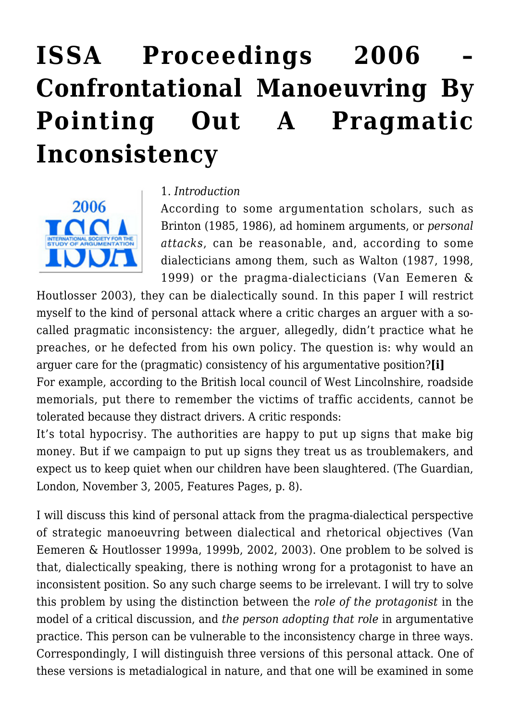# **[ISSA Proceedings 2006 –](https://rozenbergquarterly.com/issa-proceedings-2006-confrontational-manoeuvring-by-pointing-out-a-pragmatic-inconsistency/) [Confrontational Manoeuvring By](https://rozenbergquarterly.com/issa-proceedings-2006-confrontational-manoeuvring-by-pointing-out-a-pragmatic-inconsistency/) [Pointing Out A Pragmatic](https://rozenbergquarterly.com/issa-proceedings-2006-confrontational-manoeuvring-by-pointing-out-a-pragmatic-inconsistency/) [Inconsistency](https://rozenbergquarterly.com/issa-proceedings-2006-confrontational-manoeuvring-by-pointing-out-a-pragmatic-inconsistency/)**



#### 1. *Introduction*

According to some argumentation scholars, such as Brinton (1985, 1986), ad hominem arguments, or *personal attacks*, can be reasonable, and, according to some dialecticians among them, such as Walton (1987, 1998, 1999) or the pragma-dialecticians (Van Eemeren &

Houtlosser 2003), they can be dialectically sound. In this paper I will restrict myself to the kind of personal attack where a critic charges an arguer with a socalled pragmatic inconsistency: the arguer, allegedly, didn't practice what he preaches, or he defected from his own policy. The question is: why would an arguer care for the (pragmatic) consistency of his argumentative position?**[i]** For example, according to the British local council of West Lincolnshire, roadside memorials, put there to remember the victims of traffic accidents, cannot be tolerated because they distract drivers. A critic responds:

It's total hypocrisy. The authorities are happy to put up signs that make big money. But if we campaign to put up signs they treat us as troublemakers, and expect us to keep quiet when our children have been slaughtered. (The Guardian, London, November 3, 2005, Features Pages, p. 8).

I will discuss this kind of personal attack from the pragma-dialectical perspective of strategic manoeuvring between dialectical and rhetorical objectives (Van Eemeren & Houtlosser 1999a, 1999b, 2002, 2003). One problem to be solved is that, dialectically speaking, there is nothing wrong for a protagonist to have an inconsistent position. So any such charge seems to be irrelevant. I will try to solve this problem by using the distinction between the *role of the protagonist* in the model of a critical discussion, and *the person adopting that role* in argumentative practice. This person can be vulnerable to the inconsistency charge in three ways. Correspondingly, I will distinguish three versions of this personal attack. One of these versions is metadialogical in nature, and that one will be examined in some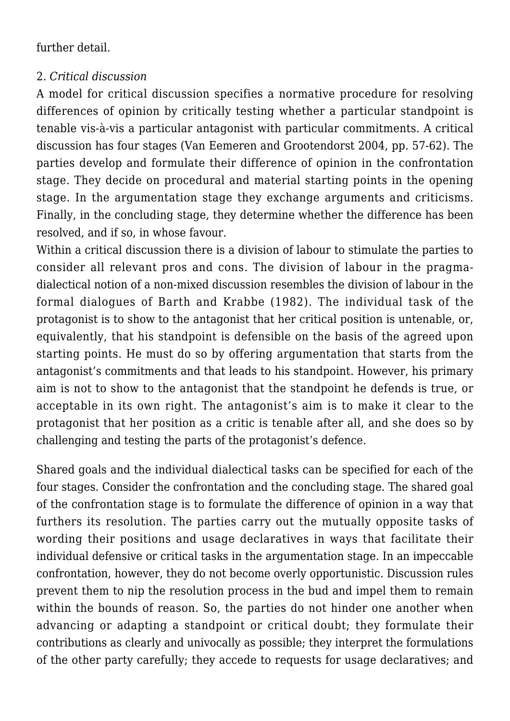further detail.

#### 2. *Critical discussion*

A model for critical discussion specifies a normative procedure for resolving differences of opinion by critically testing whether a particular standpoint is tenable vis-à-vis a particular antagonist with particular commitments. A critical discussion has four stages (Van Eemeren and Grootendorst 2004, pp. 57-62). The parties develop and formulate their difference of opinion in the confrontation stage. They decide on procedural and material starting points in the opening stage. In the argumentation stage they exchange arguments and criticisms. Finally, in the concluding stage, they determine whether the difference has been resolved, and if so, in whose favour.

Within a critical discussion there is a division of labour to stimulate the parties to consider all relevant pros and cons. The division of labour in the pragmadialectical notion of a non-mixed discussion resembles the division of labour in the formal dialogues of Barth and Krabbe (1982). The individual task of the protagonist is to show to the antagonist that her critical position is untenable, or, equivalently, that his standpoint is defensible on the basis of the agreed upon starting points. He must do so by offering argumentation that starts from the antagonist's commitments and that leads to his standpoint. However, his primary aim is not to show to the antagonist that the standpoint he defends is true, or acceptable in its own right. The antagonist's aim is to make it clear to the protagonist that her position as a critic is tenable after all, and she does so by challenging and testing the parts of the protagonist's defence.

Shared goals and the individual dialectical tasks can be specified for each of the four stages. Consider the confrontation and the concluding stage. The shared goal of the confrontation stage is to formulate the difference of opinion in a way that furthers its resolution. The parties carry out the mutually opposite tasks of wording their positions and usage declaratives in ways that facilitate their individual defensive or critical tasks in the argumentation stage. In an impeccable confrontation, however, they do not become overly opportunistic. Discussion rules prevent them to nip the resolution process in the bud and impel them to remain within the bounds of reason. So, the parties do not hinder one another when advancing or adapting a standpoint or critical doubt; they formulate their contributions as clearly and univocally as possible; they interpret the formulations of the other party carefully; they accede to requests for usage declaratives; and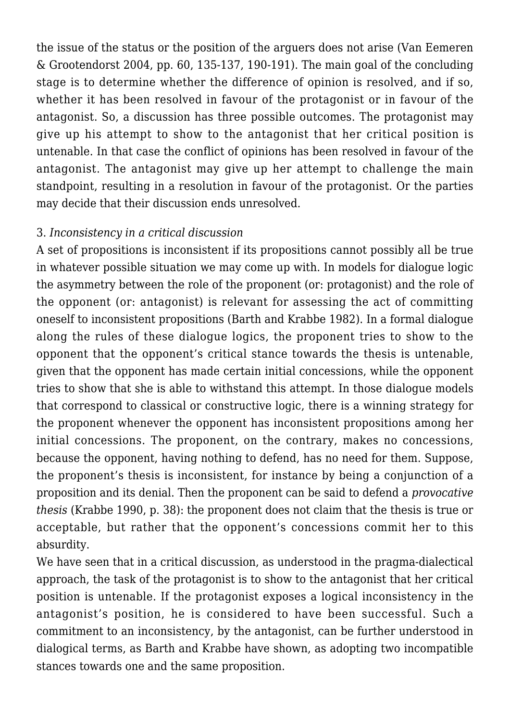the issue of the status or the position of the arguers does not arise (Van Eemeren & Grootendorst 2004, pp. 60, 135-137, 190-191). The main goal of the concluding stage is to determine whether the difference of opinion is resolved, and if so, whether it has been resolved in favour of the protagonist or in favour of the antagonist. So, a discussion has three possible outcomes. The protagonist may give up his attempt to show to the antagonist that her critical position is untenable. In that case the conflict of opinions has been resolved in favour of the antagonist. The antagonist may give up her attempt to challenge the main standpoint, resulting in a resolution in favour of the protagonist. Or the parties may decide that their discussion ends unresolved.

#### 3. *Inconsistency in a critical discussion*

A set of propositions is inconsistent if its propositions cannot possibly all be true in whatever possible situation we may come up with. In models for dialogue logic the asymmetry between the role of the proponent (or: protagonist) and the role of the opponent (or: antagonist) is relevant for assessing the act of committing oneself to inconsistent propositions (Barth and Krabbe 1982). In a formal dialogue along the rules of these dialogue logics, the proponent tries to show to the opponent that the opponent's critical stance towards the thesis is untenable, given that the opponent has made certain initial concessions, while the opponent tries to show that she is able to withstand this attempt. In those dialogue models that correspond to classical or constructive logic, there is a winning strategy for the proponent whenever the opponent has inconsistent propositions among her initial concessions. The proponent, on the contrary, makes no concessions, because the opponent, having nothing to defend, has no need for them. Suppose, the proponent's thesis is inconsistent, for instance by being a conjunction of a proposition and its denial. Then the proponent can be said to defend a *provocative thesis* (Krabbe 1990, p. 38): the proponent does not claim that the thesis is true or acceptable, but rather that the opponent's concessions commit her to this absurdity.

We have seen that in a critical discussion, as understood in the pragma-dialectical approach, the task of the protagonist is to show to the antagonist that her critical position is untenable. If the protagonist exposes a logical inconsistency in the antagonist's position, he is considered to have been successful. Such a commitment to an inconsistency, by the antagonist, can be further understood in dialogical terms, as Barth and Krabbe have shown, as adopting two incompatible stances towards one and the same proposition.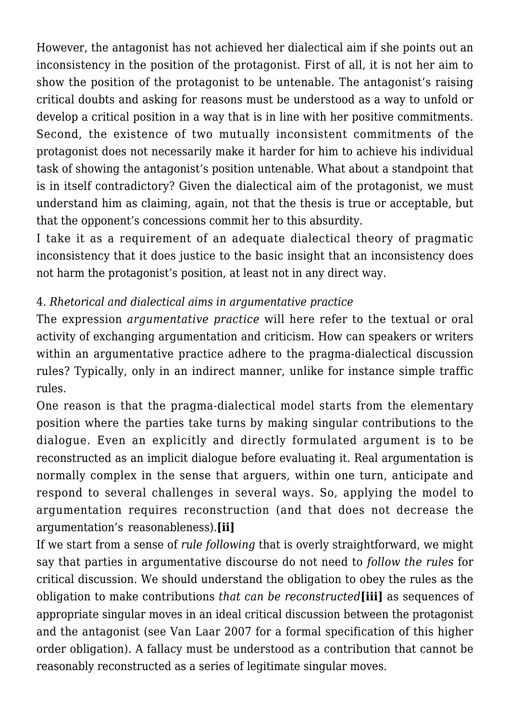However, the antagonist has not achieved her dialectical aim if she points out an inconsistency in the position of the protagonist. First of all, it is not her aim to show the position of the protagonist to be untenable. The antagonist's raising critical doubts and asking for reasons must be understood as a way to unfold or develop a critical position in a way that is in line with her positive commitments. Second, the existence of two mutually inconsistent commitments of the protagonist does not necessarily make it harder for him to achieve his individual task of showing the antagonist's position untenable. What about a standpoint that is in itself contradictory? Given the dialectical aim of the protagonist, we must understand him as claiming, again, not that the thesis is true or acceptable, but that the opponent's concessions commit her to this absurdity.

I take it as a requirement of an adequate dialectical theory of pragmatic inconsistency that it does justice to the basic insight that an inconsistency does not harm the protagonist's position, at least not in any direct way.

# 4. *Rhetorical and dialectical aims in argumentative practice*

The expression *argumentative practice* will here refer to the textual or oral activity of exchanging argumentation and criticism. How can speakers or writers within an argumentative practice adhere to the pragma-dialectical discussion rules? Typically, only in an indirect manner, unlike for instance simple traffic rules.

One reason is that the pragma-dialectical model starts from the elementary position where the parties take turns by making singular contributions to the dialogue. Even an explicitly and directly formulated argument is to be reconstructed as an implicit dialogue before evaluating it. Real argumentation is normally complex in the sense that arguers, within one turn, anticipate and respond to several challenges in several ways. So, applying the model to argumentation requires reconstruction (and that does not decrease the argumentation's reasonableness).**[ii]**

If we start from a sense of *rule following* that is overly straightforward, we might say that parties in argumentative discourse do not need to *follow the rules* for critical discussion. We should understand the obligation to obey the rules as the obligation to make contributions *that can be reconstructed***[iii]** as sequences of appropriate singular moves in an ideal critical discussion between the protagonist and the antagonist (see Van Laar 2007 for a formal specification of this higher order obligation). A fallacy must be understood as a contribution that cannot be reasonably reconstructed as a series of legitimate singular moves.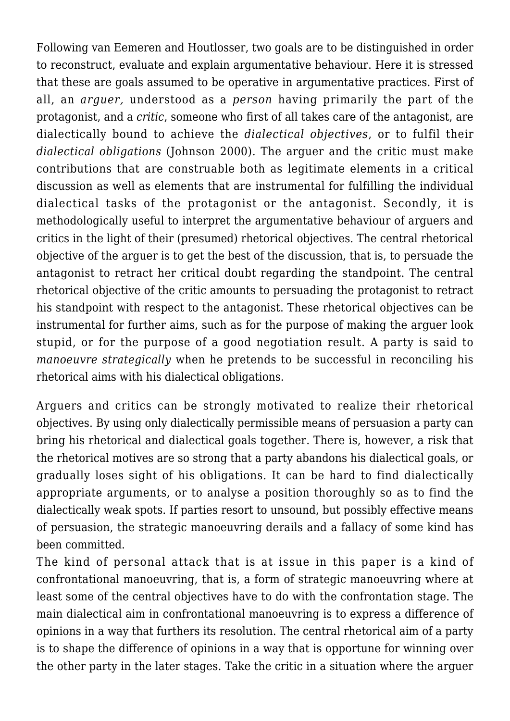Following van Eemeren and Houtlosser, two goals are to be distinguished in order to reconstruct, evaluate and explain argumentative behaviour. Here it is stressed that these are goals assumed to be operative in argumentative practices. First of all, an *arguer,* understood as a *person* having primarily the part of the protagonist, and a *critic*, someone who first of all takes care of the antagonist, are dialectically bound to achieve the *dialectical objectives*, or to fulfil their *dialectical obligations* (Johnson 2000). The arguer and the critic must make contributions that are construable both as legitimate elements in a critical discussion as well as elements that are instrumental for fulfilling the individual dialectical tasks of the protagonist or the antagonist. Secondly, it is methodologically useful to interpret the argumentative behaviour of arguers and critics in the light of their (presumed) rhetorical objectives. The central rhetorical objective of the arguer is to get the best of the discussion, that is, to persuade the antagonist to retract her critical doubt regarding the standpoint. The central rhetorical objective of the critic amounts to persuading the protagonist to retract his standpoint with respect to the antagonist. These rhetorical objectives can be instrumental for further aims, such as for the purpose of making the arguer look stupid, or for the purpose of a good negotiation result. A party is said to *manoeuvre strategically* when he pretends to be successful in reconciling his rhetorical aims with his dialectical obligations.

Arguers and critics can be strongly motivated to realize their rhetorical objectives. By using only dialectically permissible means of persuasion a party can bring his rhetorical and dialectical goals together. There is, however, a risk that the rhetorical motives are so strong that a party abandons his dialectical goals, or gradually loses sight of his obligations. It can be hard to find dialectically appropriate arguments, or to analyse a position thoroughly so as to find the dialectically weak spots. If parties resort to unsound, but possibly effective means of persuasion, the strategic manoeuvring derails and a fallacy of some kind has been committed.

The kind of personal attack that is at issue in this paper is a kind of confrontational manoeuvring, that is, a form of strategic manoeuvring where at least some of the central objectives have to do with the confrontation stage. The main dialectical aim in confrontational manoeuvring is to express a difference of opinions in a way that furthers its resolution. The central rhetorical aim of a party is to shape the difference of opinions in a way that is opportune for winning over the other party in the later stages. Take the critic in a situation where the arguer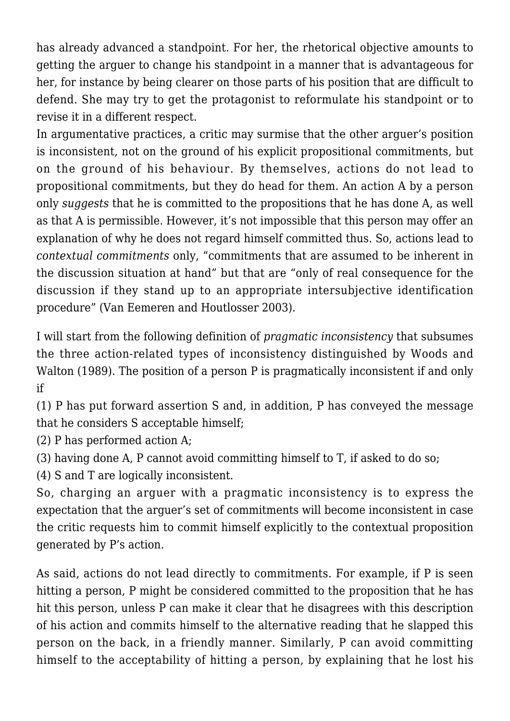has already advanced a standpoint. For her, the rhetorical objective amounts to getting the arguer to change his standpoint in a manner that is advantageous for her, for instance by being clearer on those parts of his position that are difficult to defend. She may try to get the protagonist to reformulate his standpoint or to revise it in a different respect.

In argumentative practices, a critic may surmise that the other arguer's position is inconsistent, not on the ground of his explicit propositional commitments, but on the ground of his behaviour. By themselves, actions do not lead to propositional commitments, but they do head for them. An action A by a person only *suggests* that he is committed to the propositions that he has done A, as well as that A is permissible. However, it's not impossible that this person may offer an explanation of why he does not regard himself committed thus. So, actions lead to *contextual commitments* only, "commitments that are assumed to be inherent in the discussion situation at hand" but that are "only of real consequence for the discussion if they stand up to an appropriate intersubjective identification procedure" (Van Eemeren and Houtlosser 2003).

I will start from the following definition of *pragmatic inconsistency* that subsumes the three action-related types of inconsistency distinguished by Woods and Walton (1989). The position of a person P is pragmatically inconsistent if and only if

(1) P has put forward assertion S and, in addition, P has conveyed the message that he considers S acceptable himself;

(2) P has performed action A;

- (3) having done A, P cannot avoid committing himself to T, if asked to do so;
- (4) S and T are logically inconsistent.

So, charging an arguer with a pragmatic inconsistency is to express the expectation that the arguer's set of commitments will become inconsistent in case the critic requests him to commit himself explicitly to the contextual proposition generated by P's action.

As said, actions do not lead directly to commitments. For example, if P is seen hitting a person, P might be considered committed to the proposition that he has hit this person, unless P can make it clear that he disagrees with this description of his action and commits himself to the alternative reading that he slapped this person on the back, in a friendly manner. Similarly, P can avoid committing himself to the acceptability of hitting a person, by explaining that he lost his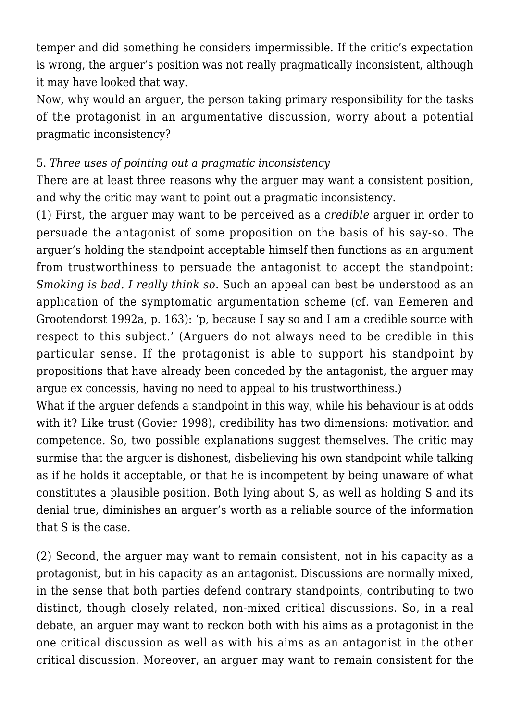temper and did something he considers impermissible. If the critic's expectation is wrong, the arguer's position was not really pragmatically inconsistent, although it may have looked that way.

Now, why would an arguer, the person taking primary responsibility for the tasks of the protagonist in an argumentative discussion, worry about a potential pragmatic inconsistency?

#### 5. *Three uses of pointing out a pragmatic inconsistency*

There are at least three reasons why the arguer may want a consistent position, and why the critic may want to point out a pragmatic inconsistency.

(1) First, the arguer may want to be perceived as a *credible* arguer in order to persuade the antagonist of some proposition on the basis of his say-so. The arguer's holding the standpoint acceptable himself then functions as an argument from trustworthiness to persuade the antagonist to accept the standpoint: *Smoking is bad. I really think so*. Such an appeal can best be understood as an application of the symptomatic argumentation scheme (cf. van Eemeren and Grootendorst 1992a, p. 163): 'p, because I say so and I am a credible source with respect to this subject.' (Arguers do not always need to be credible in this particular sense. If the protagonist is able to support his standpoint by propositions that have already been conceded by the antagonist, the arguer may argue ex concessis, having no need to appeal to his trustworthiness.)

What if the arguer defends a standpoint in this way, while his behaviour is at odds with it? Like trust (Govier 1998), credibility has two dimensions: motivation and competence. So, two possible explanations suggest themselves. The critic may surmise that the arguer is dishonest, disbelieving his own standpoint while talking as if he holds it acceptable, or that he is incompetent by being unaware of what constitutes a plausible position. Both lying about S, as well as holding S and its denial true, diminishes an arguer's worth as a reliable source of the information that S is the case.

(2) Second, the arguer may want to remain consistent, not in his capacity as a protagonist, but in his capacity as an antagonist. Discussions are normally mixed, in the sense that both parties defend contrary standpoints, contributing to two distinct, though closely related, non-mixed critical discussions. So, in a real debate, an arguer may want to reckon both with his aims as a protagonist in the one critical discussion as well as with his aims as an antagonist in the other critical discussion. Moreover, an arguer may want to remain consistent for the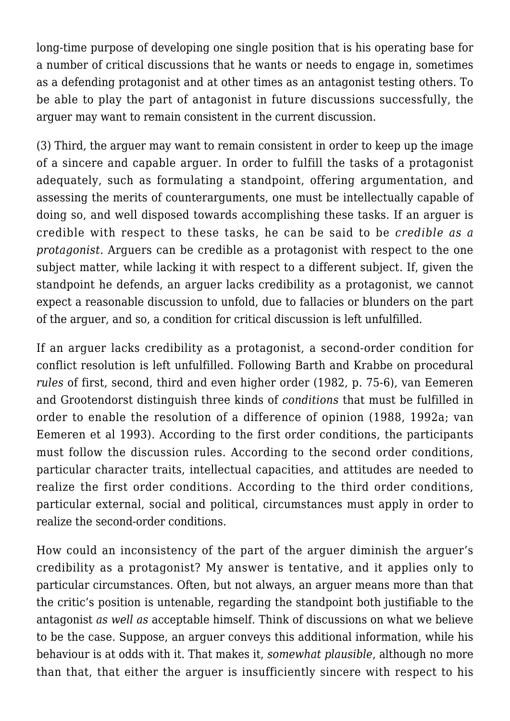long-time purpose of developing one single position that is his operating base for a number of critical discussions that he wants or needs to engage in, sometimes as a defending protagonist and at other times as an antagonist testing others. To be able to play the part of antagonist in future discussions successfully, the arguer may want to remain consistent in the current discussion.

(3) Third, the arguer may want to remain consistent in order to keep up the image of a sincere and capable arguer. In order to fulfill the tasks of a protagonist adequately, such as formulating a standpoint, offering argumentation, and assessing the merits of counterarguments, one must be intellectually capable of doing so, and well disposed towards accomplishing these tasks. If an arguer is credible with respect to these tasks, he can be said to be *credible as a protagonist*. Arguers can be credible as a protagonist with respect to the one subject matter, while lacking it with respect to a different subject. If, given the standpoint he defends, an arguer lacks credibility as a protagonist, we cannot expect a reasonable discussion to unfold, due to fallacies or blunders on the part of the arguer, and so, a condition for critical discussion is left unfulfilled.

If an arguer lacks credibility as a protagonist, a second-order condition for conflict resolution is left unfulfilled. Following Barth and Krabbe on procedural *rules* of first, second, third and even higher order (1982, p. 75-6), van Eemeren and Grootendorst distinguish three kinds of *conditions* that must be fulfilled in order to enable the resolution of a difference of opinion (1988, 1992a; van Eemeren et al 1993). According to the first order conditions, the participants must follow the discussion rules. According to the second order conditions, particular character traits, intellectual capacities, and attitudes are needed to realize the first order conditions. According to the third order conditions, particular external, social and political, circumstances must apply in order to realize the second-order conditions.

How could an inconsistency of the part of the arguer diminish the arguer's credibility as a protagonist? My answer is tentative, and it applies only to particular circumstances. Often, but not always, an arguer means more than that the critic's position is untenable, regarding the standpoint both justifiable to the antagonist *as well as* acceptable himself. Think of discussions on what we believe to be the case. Suppose, an arguer conveys this additional information, while his behaviour is at odds with it. That makes it, *somewhat plausible*, although no more than that, that either the arguer is insufficiently sincere with respect to his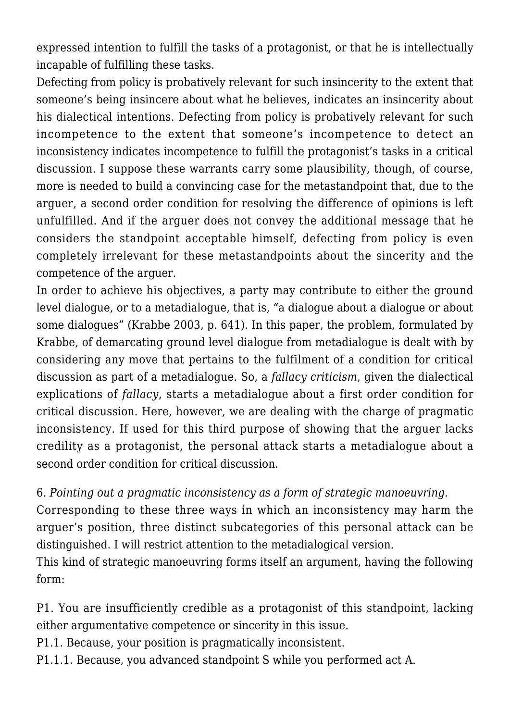expressed intention to fulfill the tasks of a protagonist, or that he is intellectually incapable of fulfilling these tasks.

Defecting from policy is probatively relevant for such insincerity to the extent that someone's being insincere about what he believes, indicates an insincerity about his dialectical intentions. Defecting from policy is probatively relevant for such incompetence to the extent that someone's incompetence to detect an inconsistency indicates incompetence to fulfill the protagonist's tasks in a critical discussion. I suppose these warrants carry some plausibility, though, of course, more is needed to build a convincing case for the metastandpoint that, due to the arguer, a second order condition for resolving the difference of opinions is left unfulfilled. And if the arguer does not convey the additional message that he considers the standpoint acceptable himself, defecting from policy is even completely irrelevant for these metastandpoints about the sincerity and the competence of the arguer.

In order to achieve his objectives, a party may contribute to either the ground level dialogue, or to a metadialogue, that is, "a dialogue about a dialogue or about some dialogues" (Krabbe 2003, p. 641). In this paper, the problem, formulated by Krabbe, of demarcating ground level dialogue from metadialogue is dealt with by considering any move that pertains to the fulfilment of a condition for critical discussion as part of a metadialogue. So, a *fallacy criticism*, given the dialectical explications of *fallacy*, starts a metadialogue about a first order condition for critical discussion. Here, however, we are dealing with the charge of pragmatic inconsistency. If used for this third purpose of showing that the arguer lacks credility as a protagonist, the personal attack starts a metadialogue about a second order condition for critical discussion.

6. *Pointing out a pragmatic inconsistency as a form of strategic manoeuvring.* Corresponding to these three ways in which an inconsistency may harm the arguer's position, three distinct subcategories of this personal attack can be distinguished. I will restrict attention to the metadialogical version.

This kind of strategic manoeuvring forms itself an argument, having the following form:

P1. You are insufficiently credible as a protagonist of this standpoint, lacking either argumentative competence or sincerity in this issue.

P1.1. Because, your position is pragmatically inconsistent.

P1.1.1. Because, you advanced standpoint S while you performed act A.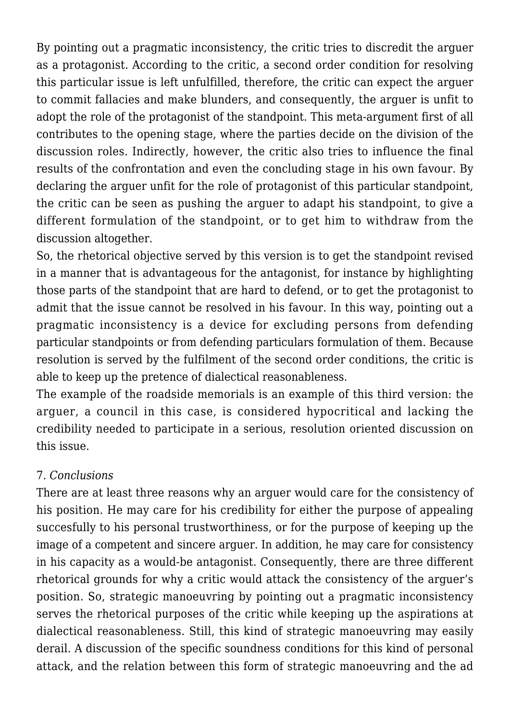By pointing out a pragmatic inconsistency, the critic tries to discredit the arguer as a protagonist. According to the critic, a second order condition for resolving this particular issue is left unfulfilled, therefore, the critic can expect the arguer to commit fallacies and make blunders, and consequently, the arguer is unfit to adopt the role of the protagonist of the standpoint. This meta-argument first of all contributes to the opening stage, where the parties decide on the division of the discussion roles. Indirectly, however, the critic also tries to influence the final results of the confrontation and even the concluding stage in his own favour. By declaring the arguer unfit for the role of protagonist of this particular standpoint, the critic can be seen as pushing the arguer to adapt his standpoint, to give a different formulation of the standpoint, or to get him to withdraw from the discussion altogether.

So, the rhetorical objective served by this version is to get the standpoint revised in a manner that is advantageous for the antagonist, for instance by highlighting those parts of the standpoint that are hard to defend, or to get the protagonist to admit that the issue cannot be resolved in his favour. In this way, pointing out a pragmatic inconsistency is a device for excluding persons from defending particular standpoints or from defending particulars formulation of them. Because resolution is served by the fulfilment of the second order conditions, the critic is able to keep up the pretence of dialectical reasonableness.

The example of the roadside memorials is an example of this third version: the arguer, a council in this case, is considered hypocritical and lacking the credibility needed to participate in a serious, resolution oriented discussion on this issue.

## 7. *Conclusions*

There are at least three reasons why an arguer would care for the consistency of his position. He may care for his credibility for either the purpose of appealing succesfully to his personal trustworthiness, or for the purpose of keeping up the image of a competent and sincere arguer. In addition, he may care for consistency in his capacity as a would-be antagonist. Consequently, there are three different rhetorical grounds for why a critic would attack the consistency of the arguer's position. So, strategic manoeuvring by pointing out a pragmatic inconsistency serves the rhetorical purposes of the critic while keeping up the aspirations at dialectical reasonableness. Still, this kind of strategic manoeuvring may easily derail. A discussion of the specific soundness conditions for this kind of personal attack, and the relation between this form of strategic manoeuvring and the ad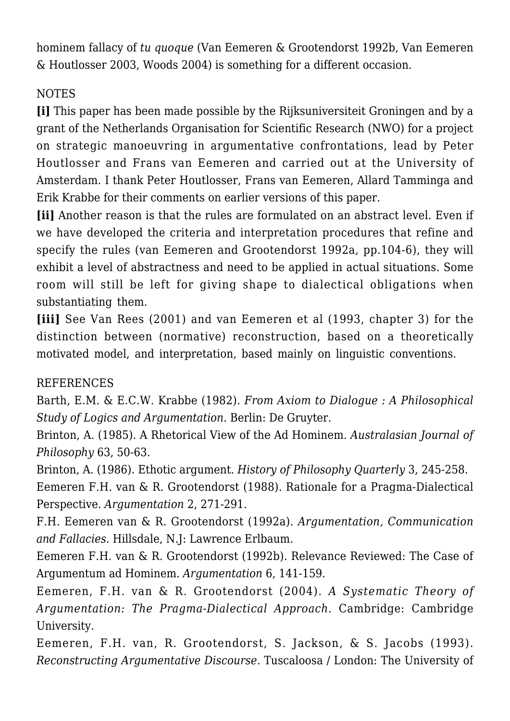hominem fallacy of *tu quoque* (Van Eemeren & Grootendorst 1992b, Van Eemeren & Houtlosser 2003, Woods 2004) is something for a different occasion.

# NOTES

**[i]** This paper has been made possible by the Rijksuniversiteit Groningen and by a grant of the Netherlands Organisation for Scientific Research (NWO) for a project on strategic manoeuvring in argumentative confrontations, lead by Peter Houtlosser and Frans van Eemeren and carried out at the University of Amsterdam. I thank Peter Houtlosser, Frans van Eemeren, Allard Tamminga and Erik Krabbe for their comments on earlier versions of this paper.

**[ii]** Another reason is that the rules are formulated on an abstract level. Even if we have developed the criteria and interpretation procedures that refine and specify the rules (van Eemeren and Grootendorst 1992a, pp.104-6), they will exhibit a level of abstractness and need to be applied in actual situations. Some room will still be left for giving shape to dialectical obligations when substantiating them.

**[iii]** See Van Rees (2001) and van Eemeren et al (1993, chapter 3) for the distinction between (normative) reconstruction, based on a theoretically motivated model, and interpretation, based mainly on linguistic conventions.

## REFERENCES

Barth, E.M. & E.C.W. Krabbe (1982). *From Axiom to Dialogue : A Philosophical Study of Logics and Argumentation.* Berlin: De Gruyter.

Brinton, A. (1985). A Rhetorical View of the Ad Hominem. *Australasian Journal of Philosophy* 63, 50-63.

Brinton, A. (1986). Ethotic argument*. History of Philosophy Quarterly* 3, 245-258. Eemeren F.H. van & R. Grootendorst (1988). Rationale for a Pragma-Dialectical Perspective. *Argumentation* 2, 271-291.

F.H. Eemeren van & R. Grootendorst (1992a). *Argumentation, Communication and Fallacies.* Hillsdale, N.J: Lawrence Erlbaum.

Eemeren F.H. van & R. Grootendorst (1992b). Relevance Reviewed: The Case of Argumentum ad Hominem. *Argumentation* 6, 141-159.

Eemeren, F.H. van & R. Grootendorst (2004). *A Systematic Theory of Argumentation: The Pragma-Dialectical Approach.* Cambridge: Cambridge University.

Eemeren, F.H. van, R. Grootendorst, S. Jackson, & S. Jacobs (1993). *Reconstructing Argumentative Discourse.* Tuscaloosa / London: The University of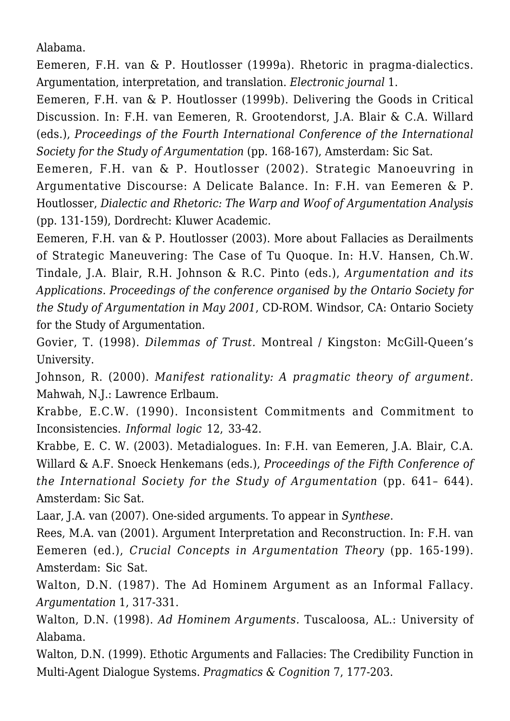Alabama.

Eemeren, F.H. van & P. Houtlosser (1999a). Rhetoric in pragma-dialectics. Argumentation, interpretation, and translation. *Electronic journal* 1.

Eemeren, F.H. van & P. Houtlosser (1999b). Delivering the Goods in Critical Discussion. In: F.H. van Eemeren, R. Grootendorst, J.A. Blair & C.A. Willard (eds.), *Proceedings of the Fourth International Conference of the International Society for the Study of Argumentation* (pp. 168-167), Amsterdam: Sic Sat.

Eemeren, F.H. van & P. Houtlosser (2002). Strategic Manoeuvring in Argumentative Discourse: A Delicate Balance. In: F.H. van Eemeren & P. Houtlosser, *Dialectic and Rhetoric: The Warp and Woof of Argumentation Analysis* (pp. 131-159), Dordrecht: Kluwer Academic.

Eemeren, F.H. van & P. Houtlosser (2003). More about Fallacies as Derailments of Strategic Maneuvering: The Case of Tu Quoque. In: H.V. Hansen, Ch.W. Tindale, J.A. Blair, R.H. Johnson & R.C. Pinto (eds.), *Argumentation and its Applications. Proceedings of the conference organised by the Ontario Society for the Study of Argumentation in May 2001*, CD-ROM. Windsor, CA: Ontario Society for the Study of Argumentation.

Govier, T. (1998). *Dilemmas of Trust.* Montreal / Kingston: McGill-Queen's University.

Johnson, R. (2000). *Manifest rationality: A pragmatic theory of argument.* Mahwah, N.J.: Lawrence Erlbaum.

Krabbe, E.C.W. (1990). Inconsistent Commitments and Commitment to Inconsistencies. *Informal logic* 12, 33-42.

Krabbe, E. C. W. (2003). Metadialogues. In: F.H. van Eemeren, J.A. Blair, C.A. Willard & A.F. Snoeck Henkemans (eds.), *Proceedings of the Fifth Conference of the International Society for the Study of Argumentation* (pp. 641– 644). Amsterdam: Sic Sat.

Laar, J.A. van (2007). One-sided arguments. To appear in *Synthese*.

Rees, M.A. van (2001). Argument Interpretation and Reconstruction. In: F.H. van Eemeren (ed.), *Crucial Concepts in Argumentation Theory* (pp. 165-199). Amsterdam: Sic Sat.

Walton, D.N. (1987). The Ad Hominem Argument as an Informal Fallacy. *Argumentation* 1, 317-331.

Walton, D.N. (1998). *Ad Hominem Arguments.* Tuscaloosa, AL.: University of Alabama.

Walton, D.N. (1999). Ethotic Arguments and Fallacies: The Credibility Function in Multi-Agent Dialogue Systems. *Pragmatics & Cognition* 7, 177-203.